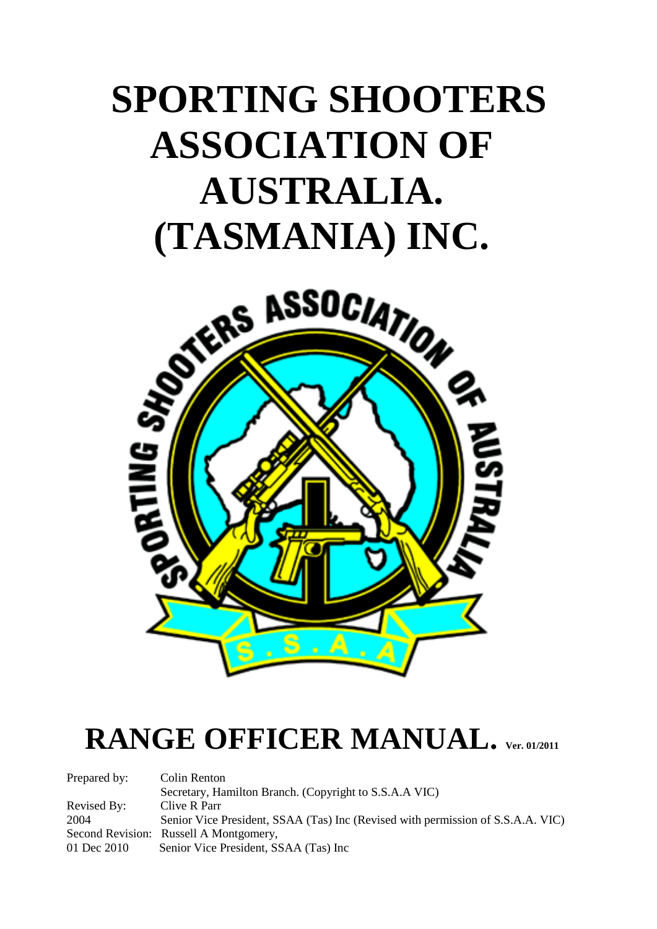# **SPORTING SHOOTERS ASSOCIATION OF AUSTRALIA. (TASMANIA) INC.**



## **RANGE OFFICER MANUAL. Ver. 01/2011**

| Prepared by: | Colin Renton                                                                    |
|--------------|---------------------------------------------------------------------------------|
|              | Secretary, Hamilton Branch. (Copyright to S.S.A.A VIC)                          |
| Revised By:  | Clive R Parr                                                                    |
| 2004         | Senior Vice President, SSAA (Tas) Inc (Revised with permission of S.S.A.A. VIC) |
|              | Second Revision: Russell A Montgomery,                                          |
| 01 Dec 2010  | Senior Vice President, SSAA (Tas) Inc.                                          |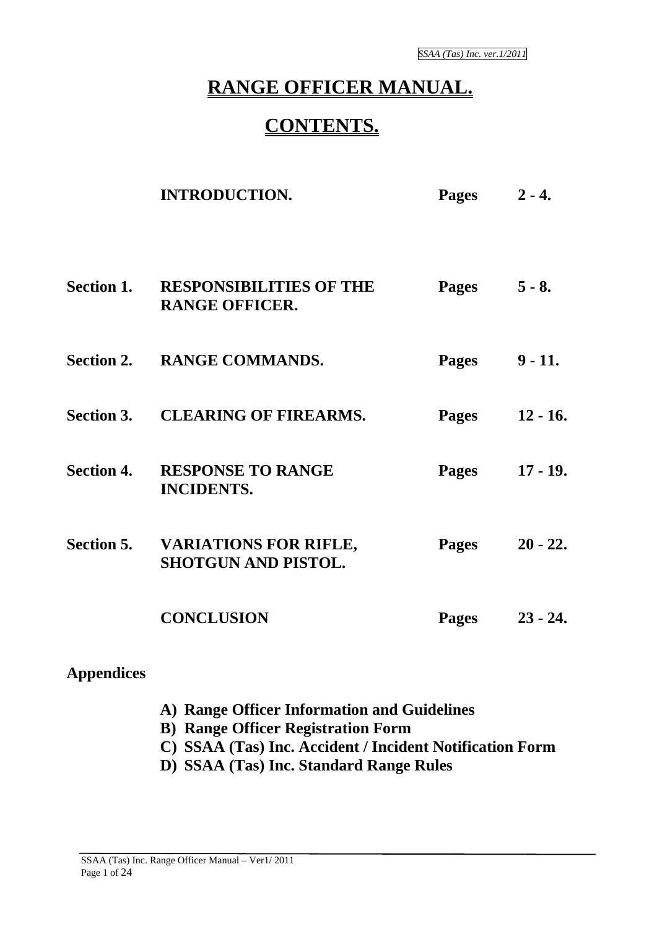## **RANGE OFFICER MANUAL.**

### **CONTENTS.**

|                   | <b>INTRODUCTION.</b>                                               | Pages $2 - 4$ . |            |
|-------------------|--------------------------------------------------------------------|-----------------|------------|
|                   | <b>Section 1. RESPONSIBILITIES OF THE</b><br><b>RANGE OFFICER.</b> | Pages $5 - 8$ . |            |
|                   | Section 2. RANGE COMMANDS.                                         | Pages           | $9 - 11.$  |
|                   | Section 3. CLEARING OF FIREARMS.                                   | <b>Pages</b>    | $12 - 16.$ |
| <b>Section 4.</b> | <b>RESPONSE TO RANGE</b><br><b>INCIDENTS.</b>                      | <b>Pages</b>    | $17 - 19.$ |
| <b>Section 5.</b> | <b>VARIATIONS FOR RIFLE,</b><br><b>SHOTGUN AND PISTOL.</b>         | <b>Pages</b>    | $20 - 22.$ |
|                   | <b>CONCLUSION</b>                                                  | Pages           | $23 - 24.$ |

#### **Appendices**

- **A) Range Officer Information and Guidelines**
- **B) Range Officer Registration Form**
- **C) SSAA (Tas) Inc. Accident / Incident Notification Form**
- **D) SSAA (Tas) Inc. Standard Range Rules**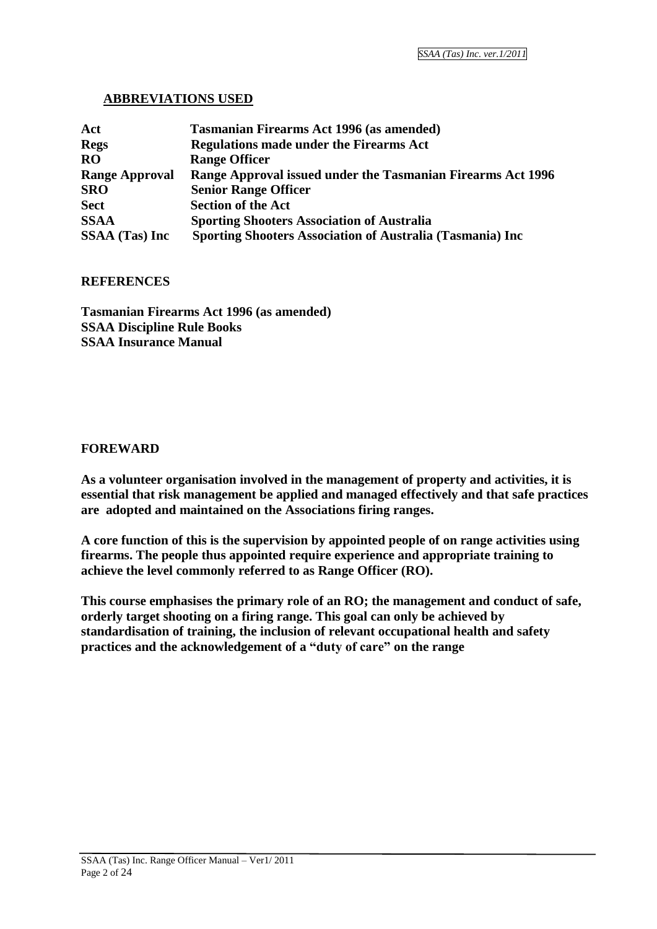#### **ABBREVIATIONS USED**

| Act                   | <b>Tasmanian Firearms Act 1996 (as amended)</b>             |
|-----------------------|-------------------------------------------------------------|
| <b>Regs</b>           | <b>Regulations made under the Firearms Act</b>              |
| <b>RO</b>             | <b>Range Officer</b>                                        |
| <b>Range Approval</b> | Range Approval issued under the Tasmanian Firearms Act 1996 |
| <b>SRO</b>            | <b>Senior Range Officer</b>                                 |
| <b>Sect</b>           | <b>Section of the Act</b>                                   |
| <b>SSAA</b>           | <b>Sporting Shooters Association of Australia</b>           |
| <b>SSAA</b> (Tas) Inc | Sporting Shooters Association of Australia (Tasmania) Inc   |

#### **REFERENCES**

**Tasmanian Firearms Act 1996 (as amended) SSAA Discipline Rule Books SSAA Insurance Manual**

#### **FOREWARD**

**As a volunteer organisation involved in the management of property and activities, it is essential that risk management be applied and managed effectively and that safe practices are adopted and maintained on the Associations firing ranges.**

**A core function of this is the supervision by appointed people of on range activities using firearms. The people thus appointed require experience and appropriate training to achieve the level commonly referred to as Range Officer (RO).**

**This course emphasises the primary role of an RO; the management and conduct of safe, orderly target shooting on a firing range. This goal can only be achieved by standardisation of training, the inclusion of relevant occupational health and safety practices and the acknowledgement of a "duty of care" on the range**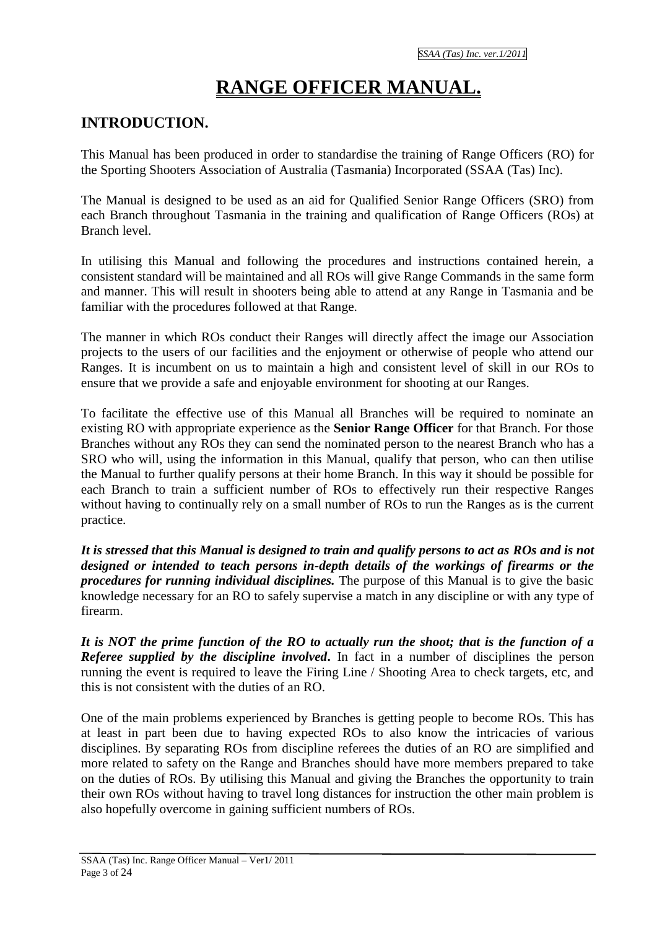## **RANGE OFFICER MANUAL.**

#### **INTRODUCTION.**

This Manual has been produced in order to standardise the training of Range Officers (RO) for the Sporting Shooters Association of Australia (Tasmania) Incorporated (SSAA (Tas) Inc).

The Manual is designed to be used as an aid for Qualified Senior Range Officers (SRO) from each Branch throughout Tasmania in the training and qualification of Range Officers (ROs) at Branch level.

In utilising this Manual and following the procedures and instructions contained herein, a consistent standard will be maintained and all ROs will give Range Commands in the same form and manner. This will result in shooters being able to attend at any Range in Tasmania and be familiar with the procedures followed at that Range.

The manner in which ROs conduct their Ranges will directly affect the image our Association projects to the users of our facilities and the enjoyment or otherwise of people who attend our Ranges. It is incumbent on us to maintain a high and consistent level of skill in our ROs to ensure that we provide a safe and enjoyable environment for shooting at our Ranges.

To facilitate the effective use of this Manual all Branches will be required to nominate an existing RO with appropriate experience as the **Senior Range Officer** for that Branch. For those Branches without any ROs they can send the nominated person to the nearest Branch who has a SRO who will, using the information in this Manual, qualify that person, who can then utilise the Manual to further qualify persons at their home Branch. In this way it should be possible for each Branch to train a sufficient number of ROs to effectively run their respective Ranges without having to continually rely on a small number of ROs to run the Ranges as is the current practice.

*It is stressed that this Manual is designed to train and qualify persons to act as ROs and is not designed or intended to teach persons in-depth details of the workings of firearms or the procedures for running individual disciplines.* The purpose of this Manual is to give the basic knowledge necessary for an RO to safely supervise a match in any discipline or with any type of firearm.

*It is NOT the prime function of the RO to actually run the shoot; that is the function of a Referee supplied by the discipline involved***.** In fact in a number of disciplines the person running the event is required to leave the Firing Line / Shooting Area to check targets, etc, and this is not consistent with the duties of an RO.

One of the main problems experienced by Branches is getting people to become ROs. This has at least in part been due to having expected ROs to also know the intricacies of various disciplines. By separating ROs from discipline referees the duties of an RO are simplified and more related to safety on the Range and Branches should have more members prepared to take on the duties of ROs. By utilising this Manual and giving the Branches the opportunity to train their own ROs without having to travel long distances for instruction the other main problem is also hopefully overcome in gaining sufficient numbers of ROs.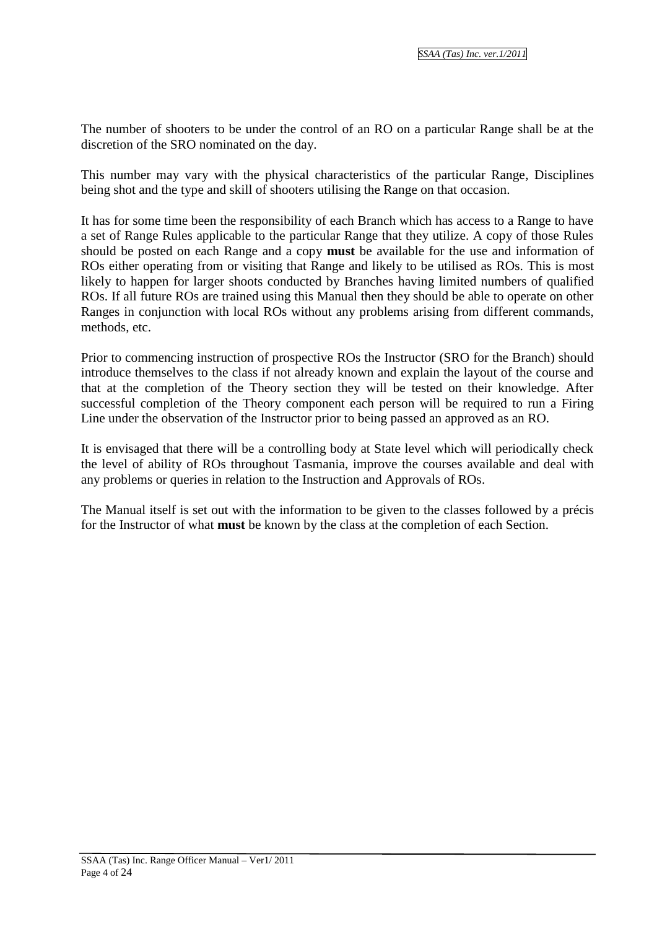The number of shooters to be under the control of an RO on a particular Range shall be at the discretion of the SRO nominated on the day.

This number may vary with the physical characteristics of the particular Range, Disciplines being shot and the type and skill of shooters utilising the Range on that occasion.

It has for some time been the responsibility of each Branch which has access to a Range to have a set of Range Rules applicable to the particular Range that they utilize. A copy of those Rules should be posted on each Range and a copy **must** be available for the use and information of ROs either operating from or visiting that Range and likely to be utilised as ROs. This is most likely to happen for larger shoots conducted by Branches having limited numbers of qualified ROs. If all future ROs are trained using this Manual then they should be able to operate on other Ranges in conjunction with local ROs without any problems arising from different commands, methods, etc.

Prior to commencing instruction of prospective ROs the Instructor (SRO for the Branch) should introduce themselves to the class if not already known and explain the layout of the course and that at the completion of the Theory section they will be tested on their knowledge. After successful completion of the Theory component each person will be required to run a Firing Line under the observation of the Instructor prior to being passed an approved as an RO.

It is envisaged that there will be a controlling body at State level which will periodically check the level of ability of ROs throughout Tasmania, improve the courses available and deal with any problems or queries in relation to the Instruction and Approvals of ROs.

The Manual itself is set out with the information to be given to the classes followed by a précis for the Instructor of what **must** be known by the class at the completion of each Section.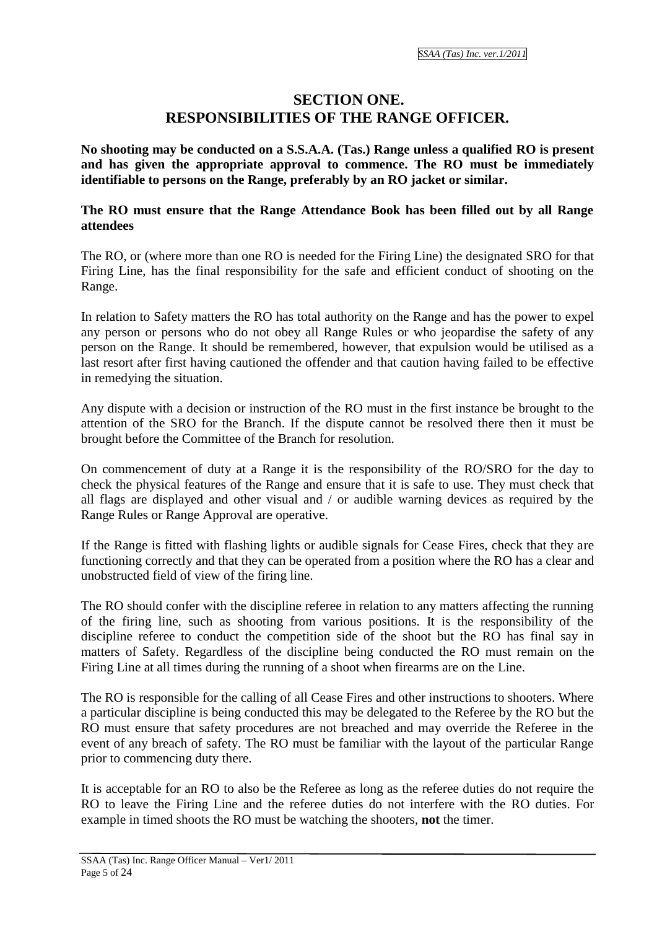#### **SECTION ONE. RESPONSIBILITIES OF THE RANGE OFFICER.**

**No shooting may be conducted on a S.S.A.A. (Tas.) Range unless a qualified RO is present and has given the appropriate approval to commence. The RO must be immediately identifiable to persons on the Range, preferably by an RO jacket or similar.**

#### **The RO must ensure that the Range Attendance Book has been filled out by all Range attendees**

The RO, or (where more than one RO is needed for the Firing Line) the designated SRO for that Firing Line, has the final responsibility for the safe and efficient conduct of shooting on the Range.

In relation to Safety matters the RO has total authority on the Range and has the power to expel any person or persons who do not obey all Range Rules or who jeopardise the safety of any person on the Range. It should be remembered, however, that expulsion would be utilised as a last resort after first having cautioned the offender and that caution having failed to be effective in remedying the situation.

Any dispute with a decision or instruction of the RO must in the first instance be brought to the attention of the SRO for the Branch. If the dispute cannot be resolved there then it must be brought before the Committee of the Branch for resolution.

On commencement of duty at a Range it is the responsibility of the RO/SRO for the day to check the physical features of the Range and ensure that it is safe to use. They must check that all flags are displayed and other visual and / or audible warning devices as required by the Range Rules or Range Approval are operative.

If the Range is fitted with flashing lights or audible signals for Cease Fires, check that they are functioning correctly and that they can be operated from a position where the RO has a clear and unobstructed field of view of the firing line.

The RO should confer with the discipline referee in relation to any matters affecting the running of the firing line, such as shooting from various positions. It is the responsibility of the discipline referee to conduct the competition side of the shoot but the RO has final say in matters of Safety. Regardless of the discipline being conducted the RO must remain on the Firing Line at all times during the running of a shoot when firearms are on the Line.

The RO is responsible for the calling of all Cease Fires and other instructions to shooters. Where a particular discipline is being conducted this may be delegated to the Referee by the RO but the RO must ensure that safety procedures are not breached and may override the Referee in the event of any breach of safety. The RO must be familiar with the layout of the particular Range prior to commencing duty there.

It is acceptable for an RO to also be the Referee as long as the referee duties do not require the RO to leave the Firing Line and the referee duties do not interfere with the RO duties. For example in timed shoots the RO must be watching the shooters, **not** the timer.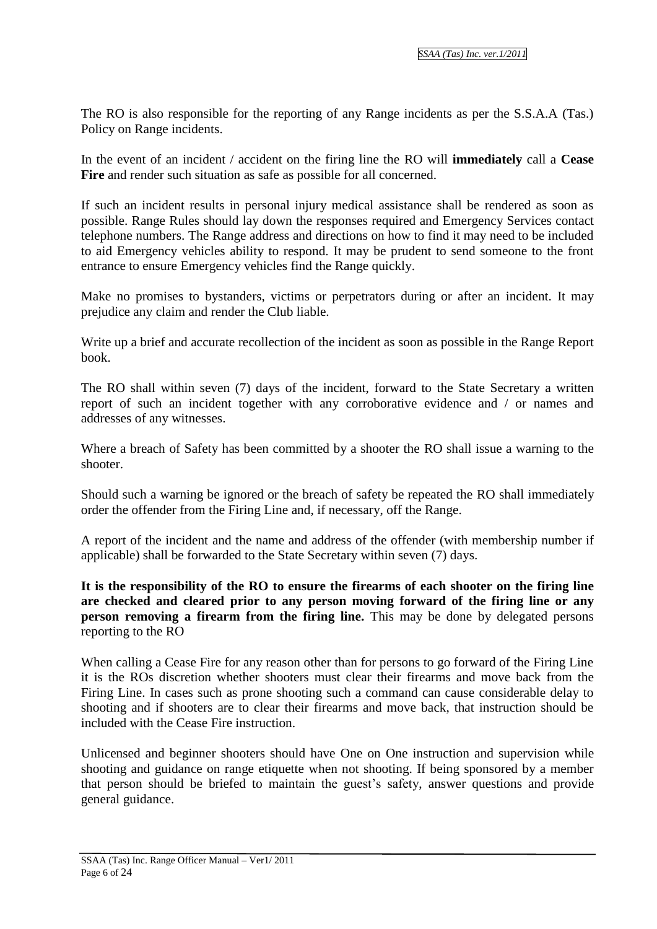The RO is also responsible for the reporting of any Range incidents as per the S.S.A.A (Tas.) Policy on Range incidents.

In the event of an incident / accident on the firing line the RO will **immediately** call a **Cease Fire** and render such situation as safe as possible for all concerned.

If such an incident results in personal injury medical assistance shall be rendered as soon as possible. Range Rules should lay down the responses required and Emergency Services contact telephone numbers. The Range address and directions on how to find it may need to be included to aid Emergency vehicles ability to respond. It may be prudent to send someone to the front entrance to ensure Emergency vehicles find the Range quickly.

Make no promises to bystanders, victims or perpetrators during or after an incident. It may prejudice any claim and render the Club liable.

Write up a brief and accurate recollection of the incident as soon as possible in the Range Report book.

The RO shall within seven (7) days of the incident, forward to the State Secretary a written report of such an incident together with any corroborative evidence and / or names and addresses of any witnesses.

Where a breach of Safety has been committed by a shooter the RO shall issue a warning to the shooter.

Should such a warning be ignored or the breach of safety be repeated the RO shall immediately order the offender from the Firing Line and, if necessary, off the Range.

A report of the incident and the name and address of the offender (with membership number if applicable) shall be forwarded to the State Secretary within seven (7) days.

**It is the responsibility of the RO to ensure the firearms of each shooter on the firing line are checked and cleared prior to any person moving forward of the firing line or any person removing a firearm from the firing line.** This may be done by delegated persons reporting to the RO

When calling a Cease Fire for any reason other than for persons to go forward of the Firing Line it is the ROs discretion whether shooters must clear their firearms and move back from the Firing Line. In cases such as prone shooting such a command can cause considerable delay to shooting and if shooters are to clear their firearms and move back, that instruction should be included with the Cease Fire instruction.

Unlicensed and beginner shooters should have One on One instruction and supervision while shooting and guidance on range etiquette when not shooting. If being sponsored by a member that person should be briefed to maintain the guest's safety, answer questions and provide general guidance.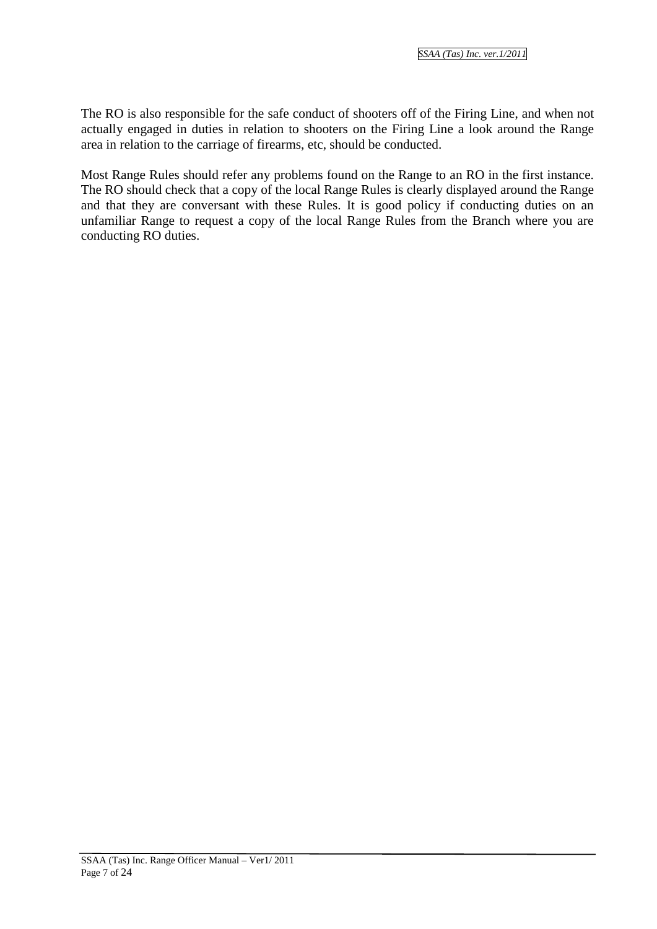The RO is also responsible for the safe conduct of shooters off of the Firing Line, and when not actually engaged in duties in relation to shooters on the Firing Line a look around the Range area in relation to the carriage of firearms, etc, should be conducted.

Most Range Rules should refer any problems found on the Range to an RO in the first instance. The RO should check that a copy of the local Range Rules is clearly displayed around the Range and that they are conversant with these Rules. It is good policy if conducting duties on an unfamiliar Range to request a copy of the local Range Rules from the Branch where you are conducting RO duties.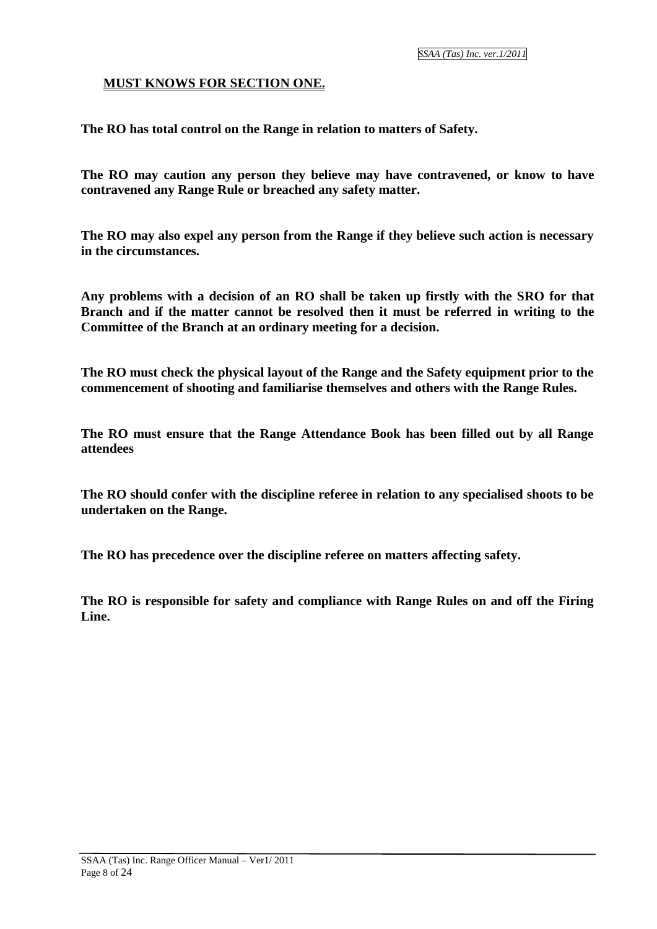#### **MUST KNOWS FOR SECTION ONE.**

**The RO has total control on the Range in relation to matters of Safety.**

**The RO may caution any person they believe may have contravened, or know to have contravened any Range Rule or breached any safety matter.**

**The RO may also expel any person from the Range if they believe such action is necessary in the circumstances.**

**Any problems with a decision of an RO shall be taken up firstly with the SRO for that Branch and if the matter cannot be resolved then it must be referred in writing to the Committee of the Branch at an ordinary meeting for a decision.**

**The RO must check the physical layout of the Range and the Safety equipment prior to the commencement of shooting and familiarise themselves and others with the Range Rules.**

**The RO must ensure that the Range Attendance Book has been filled out by all Range attendees**

**The RO should confer with the discipline referee in relation to any specialised shoots to be undertaken on the Range.**

**The RO has precedence over the discipline referee on matters affecting safety.**

**The RO is responsible for safety and compliance with Range Rules on and off the Firing Line.**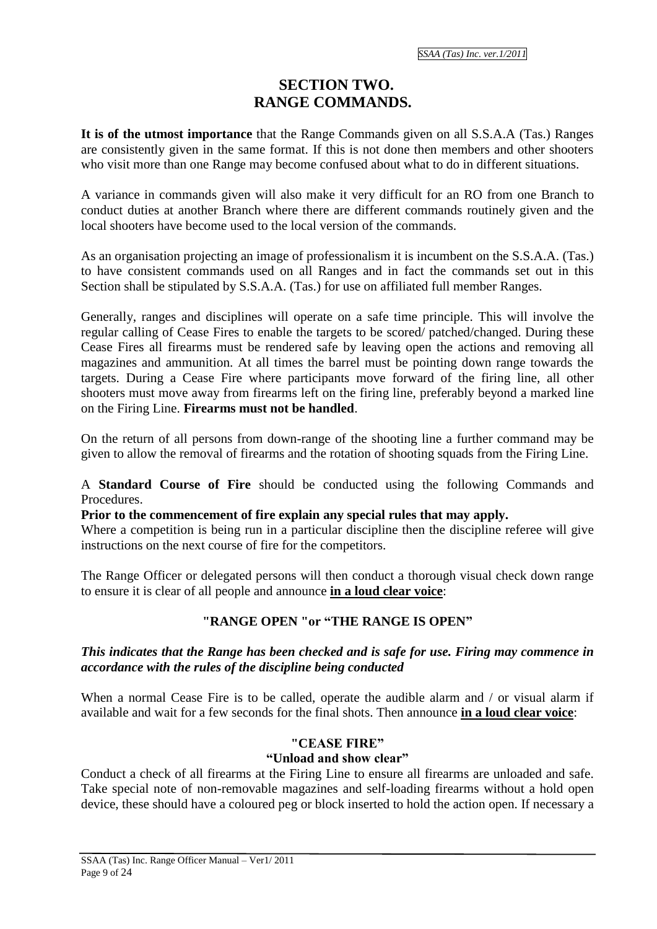#### **SECTION TWO. RANGE COMMANDS.**

**It is of the utmost importance** that the Range Commands given on all S.S.A.A (Tas.) Ranges are consistently given in the same format. If this is not done then members and other shooters who visit more than one Range may become confused about what to do in different situations.

A variance in commands given will also make it very difficult for an RO from one Branch to conduct duties at another Branch where there are different commands routinely given and the local shooters have become used to the local version of the commands.

As an organisation projecting an image of professionalism it is incumbent on the S.S.A.A. (Tas.) to have consistent commands used on all Ranges and in fact the commands set out in this Section shall be stipulated by S.S.A.A. (Tas.) for use on affiliated full member Ranges.

Generally, ranges and disciplines will operate on a safe time principle. This will involve the regular calling of Cease Fires to enable the targets to be scored/ patched/changed. During these Cease Fires all firearms must be rendered safe by leaving open the actions and removing all magazines and ammunition. At all times the barrel must be pointing down range towards the targets. During a Cease Fire where participants move forward of the firing line, all other shooters must move away from firearms left on the firing line, preferably beyond a marked line on the Firing Line. **Firearms must not be handled**.

On the return of all persons from down-range of the shooting line a further command may be given to allow the removal of firearms and the rotation of shooting squads from the Firing Line.

A **Standard Course of Fire** should be conducted using the following Commands and Procedures.

**Prior to the commencement of fire explain any special rules that may apply.**

Where a competition is being run in a particular discipline then the discipline referee will give instructions on the next course of fire for the competitors.

The Range Officer or delegated persons will then conduct a thorough visual check down range to ensure it is clear of all people and announce **in a loud clear voice**:

#### **"RANGE OPEN "or "THE RANGE IS OPEN"**

#### *This indicates that the Range has been checked and is safe for use. Firing may commence in accordance with the rules of the discipline being conducted*

When a normal Cease Fire is to be called, operate the audible alarm and / or visual alarm if available and wait for a few seconds for the final shots. Then announce **in a loud clear voice**:

#### **"CEASE FIRE"**

#### **"Unload and show clear"**

Conduct a check of all firearms at the Firing Line to ensure all firearms are unloaded and safe. Take special note of non-removable magazines and self-loading firearms without a hold open device, these should have a coloured peg or block inserted to hold the action open. If necessary a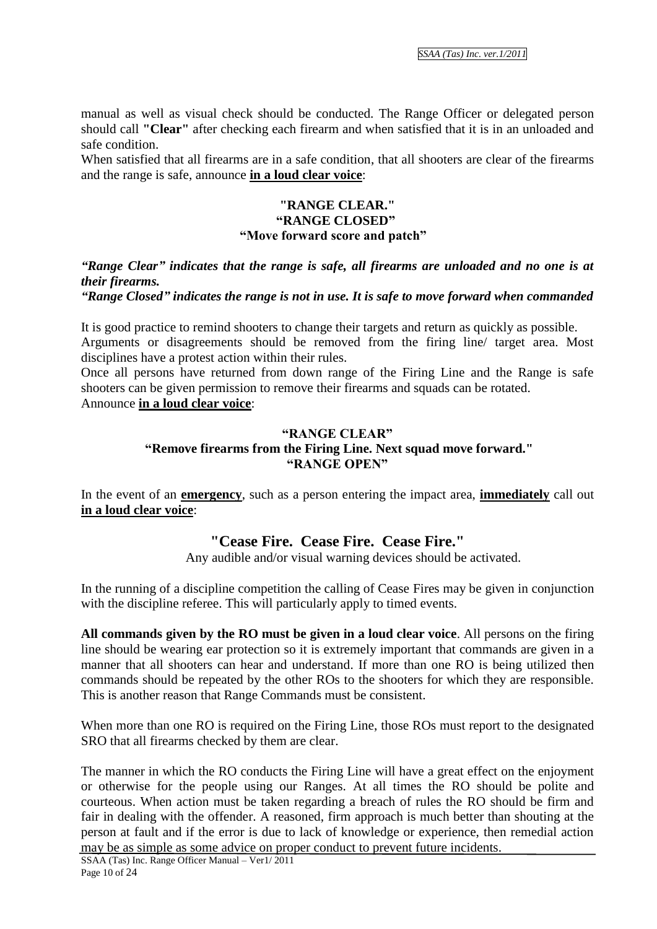manual as well as visual check should be conducted. The Range Officer or delegated person should call **"Clear"** after checking each firearm and when satisfied that it is in an unloaded and safe condition.

When satisfied that all firearms are in a safe condition, that all shooters are clear of the firearms and the range is safe, announce **in a loud clear voice**:

#### **"RANGE CLEAR." "RANGE CLOSED" "Move forward score and patch"**

#### *"Range Clear" indicates that the range is safe, all firearms are unloaded and no one is at their firearms.*

#### *"Range Closed" indicates the range is not in use. It is safe to move forward when commanded*

It is good practice to remind shooters to change their targets and return as quickly as possible. Arguments or disagreements should be removed from the firing line/ target area. Most disciplines have a protest action within their rules.

Once all persons have returned from down range of the Firing Line and the Range is safe shooters can be given permission to remove their firearms and squads can be rotated. Announce **in a loud clear voice**:

#### **"RANGE CLEAR" "Remove firearms from the Firing Line. Next squad move forward." "RANGE OPEN"**

In the event of an **emergency**, such as a person entering the impact area, **immediately** call out **in a loud clear voice**:

#### **"Cease Fire. Cease Fire. Cease Fire."**

Any audible and/or visual warning devices should be activated.

In the running of a discipline competition the calling of Cease Fires may be given in conjunction with the discipline referee. This will particularly apply to timed events.

**All commands given by the RO must be given in a loud clear voice**. All persons on the firing line should be wearing ear protection so it is extremely important that commands are given in a manner that all shooters can hear and understand. If more than one RO is being utilized then commands should be repeated by the other ROs to the shooters for which they are responsible. This is another reason that Range Commands must be consistent.

When more than one RO is required on the Firing Line, those ROs must report to the designated SRO that all firearms checked by them are clear.

The manner in which the RO conducts the Firing Line will have a great effect on the enjoyment or otherwise for the people using our Ranges. At all times the RO should be polite and courteous. When action must be taken regarding a breach of rules the RO should be firm and fair in dealing with the offender. A reasoned, firm approach is much better than shouting at the person at fault and if the error is due to lack of knowledge or experience, then remedial action may be as simple as some advice on proper conduct to prevent future incidents.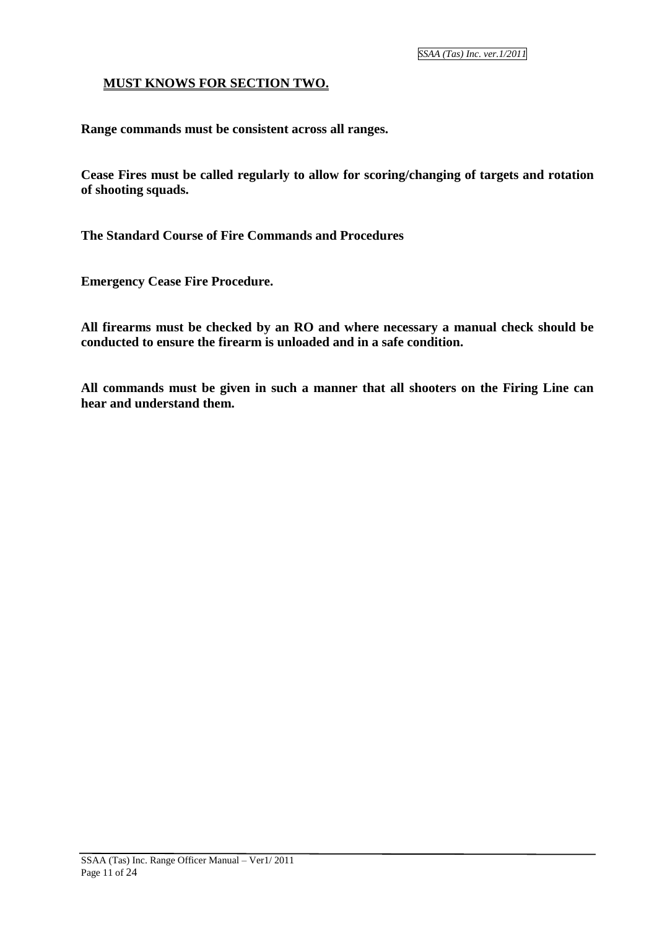#### **MUST KNOWS FOR SECTION TWO.**

**Range commands must be consistent across all ranges.**

**Cease Fires must be called regularly to allow for scoring/changing of targets and rotation of shooting squads.**

**The Standard Course of Fire Commands and Procedures** 

**Emergency Cease Fire Procedure.**

**All firearms must be checked by an RO and where necessary a manual check should be conducted to ensure the firearm is unloaded and in a safe condition.**

**All commands must be given in such a manner that all shooters on the Firing Line can hear and understand them.**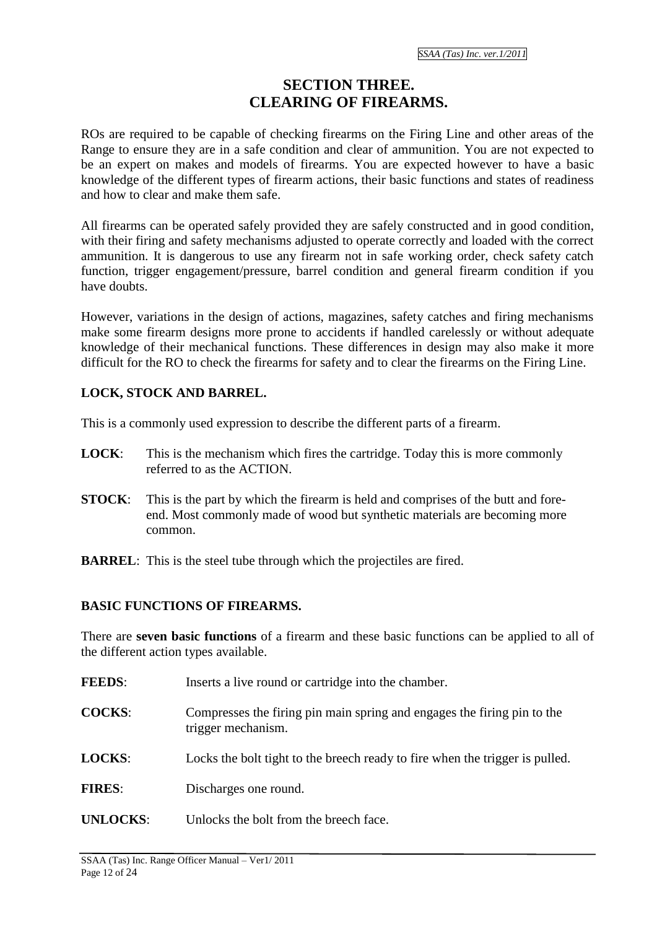#### **SECTION THREE. CLEARING OF FIREARMS.**

ROs are required to be capable of checking firearms on the Firing Line and other areas of the Range to ensure they are in a safe condition and clear of ammunition. You are not expected to be an expert on makes and models of firearms. You are expected however to have a basic knowledge of the different types of firearm actions, their basic functions and states of readiness and how to clear and make them safe.

All firearms can be operated safely provided they are safely constructed and in good condition, with their firing and safety mechanisms adjusted to operate correctly and loaded with the correct ammunition. It is dangerous to use any firearm not in safe working order, check safety catch function, trigger engagement/pressure, barrel condition and general firearm condition if you have doubts.

However, variations in the design of actions, magazines, safety catches and firing mechanisms make some firearm designs more prone to accidents if handled carelessly or without adequate knowledge of their mechanical functions. These differences in design may also make it more difficult for the RO to check the firearms for safety and to clear the firearms on the Firing Line.

#### **LOCK, STOCK AND BARREL.**

This is a commonly used expression to describe the different parts of a firearm.

- **LOCK**: This is the mechanism which fires the cartridge. Today this is more commonly referred to as the ACTION.
- **STOCK**: This is the part by which the firearm is held and comprises of the butt and foreend. Most commonly made of wood but synthetic materials are becoming more common.
- **BARREL:** This is the steel tube through which the projectiles are fired.

#### **BASIC FUNCTIONS OF FIREARMS.**

There are **seven basic functions** of a firearm and these basic functions can be applied to all of the different action types available.

- **FEEDS:** Inserts a live round or cartridge into the chamber.
- **COCKS**: Compresses the firing pin main spring and engages the firing pin to the trigger mechanism.
- **LOCKS:** Locks the bolt tight to the breech ready to fire when the trigger is pulled.
- **FIRES**: Discharges one round.
- UNLOCKS: Unlocks the bolt from the breech face.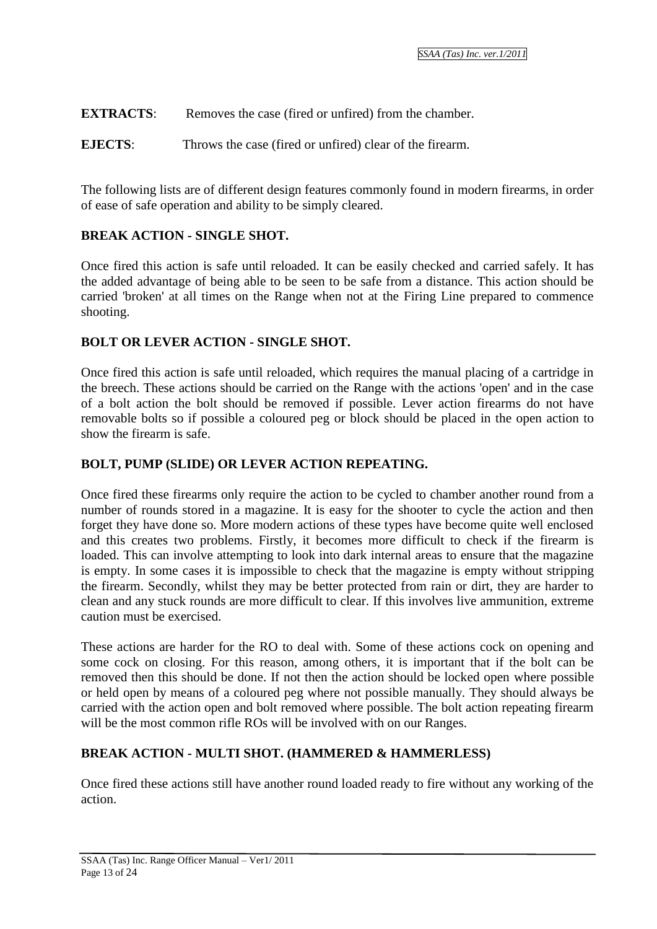**EXTRACTS:** Removes the case (fired or unfired) from the chamber.

**EJECTS**: Throws the case (fired or unfired) clear of the firearm.

The following lists are of different design features commonly found in modern firearms, in order of ease of safe operation and ability to be simply cleared.

#### **BREAK ACTION - SINGLE SHOT.**

Once fired this action is safe until reloaded. It can be easily checked and carried safely. It has the added advantage of being able to be seen to be safe from a distance. This action should be carried 'broken' at all times on the Range when not at the Firing Line prepared to commence shooting.

#### **BOLT OR LEVER ACTION - SINGLE SHOT.**

Once fired this action is safe until reloaded, which requires the manual placing of a cartridge in the breech. These actions should be carried on the Range with the actions 'open' and in the case of a bolt action the bolt should be removed if possible. Lever action firearms do not have removable bolts so if possible a coloured peg or block should be placed in the open action to show the firearm is safe.

#### **BOLT, PUMP (SLIDE) OR LEVER ACTION REPEATING.**

Once fired these firearms only require the action to be cycled to chamber another round from a number of rounds stored in a magazine. It is easy for the shooter to cycle the action and then forget they have done so. More modern actions of these types have become quite well enclosed and this creates two problems. Firstly, it becomes more difficult to check if the firearm is loaded. This can involve attempting to look into dark internal areas to ensure that the magazine is empty. In some cases it is impossible to check that the magazine is empty without stripping the firearm. Secondly, whilst they may be better protected from rain or dirt, they are harder to clean and any stuck rounds are more difficult to clear. If this involves live ammunition, extreme caution must be exercised.

These actions are harder for the RO to deal with. Some of these actions cock on opening and some cock on closing. For this reason, among others, it is important that if the bolt can be removed then this should be done. If not then the action should be locked open where possible or held open by means of a coloured peg where not possible manually. They should always be carried with the action open and bolt removed where possible. The bolt action repeating firearm will be the most common rifle ROs will be involved with on our Ranges.

#### **BREAK ACTION - MULTI SHOT. (HAMMERED & HAMMERLESS)**

Once fired these actions still have another round loaded ready to fire without any working of the action.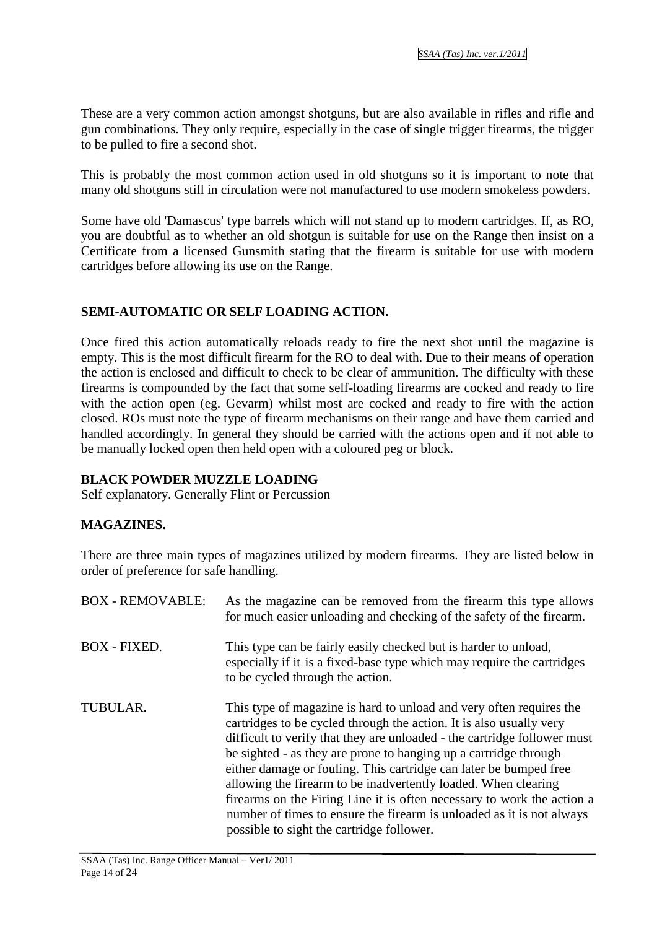These are a very common action amongst shotguns, but are also available in rifles and rifle and gun combinations. They only require, especially in the case of single trigger firearms, the trigger to be pulled to fire a second shot.

This is probably the most common action used in old shotguns so it is important to note that many old shotguns still in circulation were not manufactured to use modern smokeless powders.

Some have old 'Damascus' type barrels which will not stand up to modern cartridges. If, as RO, you are doubtful as to whether an old shotgun is suitable for use on the Range then insist on a Certificate from a licensed Gunsmith stating that the firearm is suitable for use with modern cartridges before allowing its use on the Range.

#### **SEMI-AUTOMATIC OR SELF LOADING ACTION.**

Once fired this action automatically reloads ready to fire the next shot until the magazine is empty. This is the most difficult firearm for the RO to deal with. Due to their means of operation the action is enclosed and difficult to check to be clear of ammunition. The difficulty with these firearms is compounded by the fact that some self-loading firearms are cocked and ready to fire with the action open (eg. Gevarm) whilst most are cocked and ready to fire with the action closed. ROs must note the type of firearm mechanisms on their range and have them carried and handled accordingly. In general they should be carried with the actions open and if not able to be manually locked open then held open with a coloured peg or block.

#### **BLACK POWDER MUZZLE LOADING**

Self explanatory. Generally Flint or Percussion

#### **MAGAZINES.**

There are three main types of magazines utilized by modern firearms. They are listed below in order of preference for safe handling.

| <b>BOX - REMOVABLE:</b> | As the magazine can be removed from the firearm this type allows<br>for much easier unloading and checking of the safety of the firearm.                                                                                                                                                                                                                                                                                                                                                                                                                                                                                          |
|-------------------------|-----------------------------------------------------------------------------------------------------------------------------------------------------------------------------------------------------------------------------------------------------------------------------------------------------------------------------------------------------------------------------------------------------------------------------------------------------------------------------------------------------------------------------------------------------------------------------------------------------------------------------------|
| <b>BOX - FIXED.</b>     | This type can be fairly easily checked but is harder to unload,<br>especially if it is a fixed-base type which may require the cartridges<br>to be cycled through the action.                                                                                                                                                                                                                                                                                                                                                                                                                                                     |
| TUBULAR.                | This type of magazine is hard to unload and very often requires the<br>cartridges to be cycled through the action. It is also usually very<br>difficult to verify that they are unloaded - the cartridge follower must<br>be sighted - as they are prone to hanging up a cartridge through<br>either damage or fouling. This cartridge can later be bumped free<br>allowing the firearm to be inadvertently loaded. When clearing<br>firearms on the Firing Line it is often necessary to work the action a<br>number of times to ensure the firearm is unloaded as it is not always<br>possible to sight the cartridge follower. |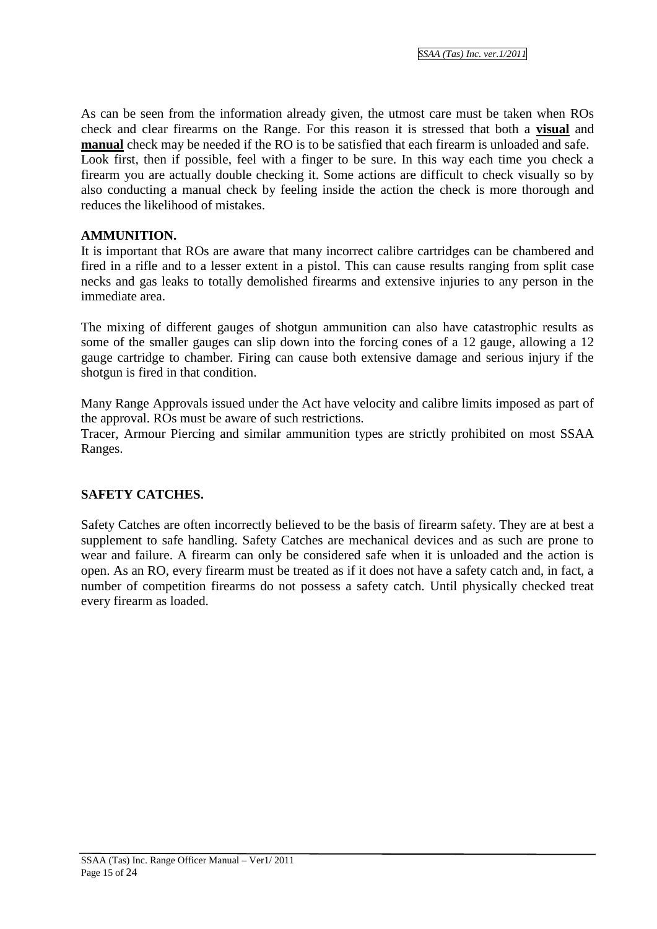As can be seen from the information already given, the utmost care must be taken when ROs check and clear firearms on the Range. For this reason it is stressed that both a **visual** and **manual** check may be needed if the RO is to be satisfied that each firearm is unloaded and safe. Look first, then if possible, feel with a finger to be sure. In this way each time you check a firearm you are actually double checking it. Some actions are difficult to check visually so by also conducting a manual check by feeling inside the action the check is more thorough and reduces the likelihood of mistakes.

#### **AMMUNITION.**

It is important that ROs are aware that many incorrect calibre cartridges can be chambered and fired in a rifle and to a lesser extent in a pistol. This can cause results ranging from split case necks and gas leaks to totally demolished firearms and extensive injuries to any person in the immediate area.

The mixing of different gauges of shotgun ammunition can also have catastrophic results as some of the smaller gauges can slip down into the forcing cones of a 12 gauge, allowing a 12 gauge cartridge to chamber. Firing can cause both extensive damage and serious injury if the shotgun is fired in that condition.

Many Range Approvals issued under the Act have velocity and calibre limits imposed as part of the approval. ROs must be aware of such restrictions.

Tracer, Armour Piercing and similar ammunition types are strictly prohibited on most SSAA Ranges.

#### **SAFETY CATCHES.**

Safety Catches are often incorrectly believed to be the basis of firearm safety. They are at best a supplement to safe handling. Safety Catches are mechanical devices and as such are prone to wear and failure. A firearm can only be considered safe when it is unloaded and the action is open. As an RO, every firearm must be treated as if it does not have a safety catch and, in fact, a number of competition firearms do not possess a safety catch. Until physically checked treat every firearm as loaded.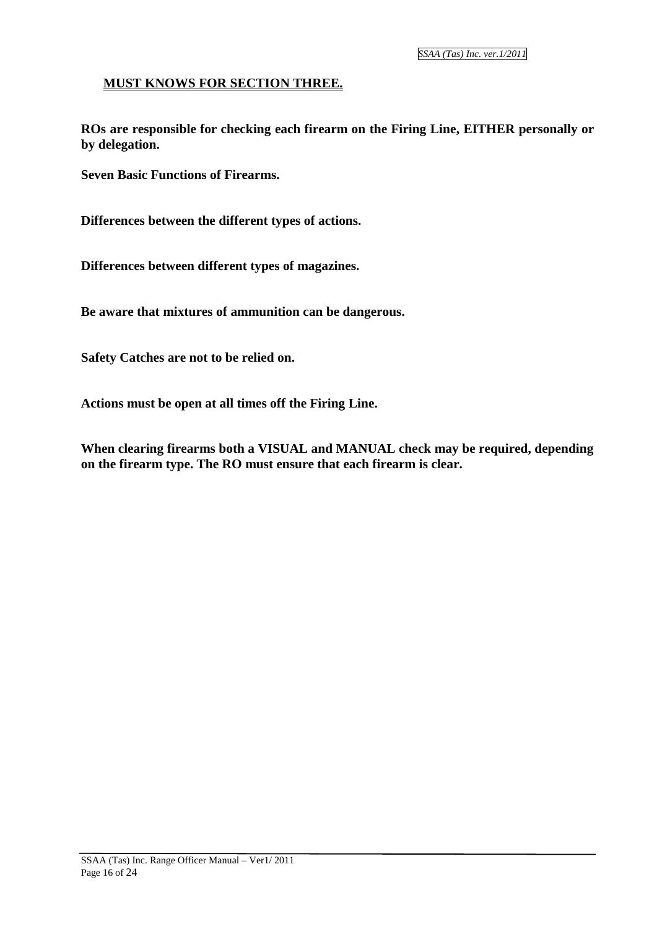*SSAA (Tas) Inc. ver.1/2011*

#### **MUST KNOWS FOR SECTION THREE.**

**ROs are responsible for checking each firearm on the Firing Line, EITHER personally or by delegation.** 

**Seven Basic Functions of Firearms.**

**Differences between the different types of actions.**

**Differences between different types of magazines.**

**Be aware that mixtures of ammunition can be dangerous.**

**Safety Catches are not to be relied on.**

**Actions must be open at all times off the Firing Line.**

**When clearing firearms both a VISUAL and MANUAL check may be required, depending on the firearm type. The RO must ensure that each firearm is clear.**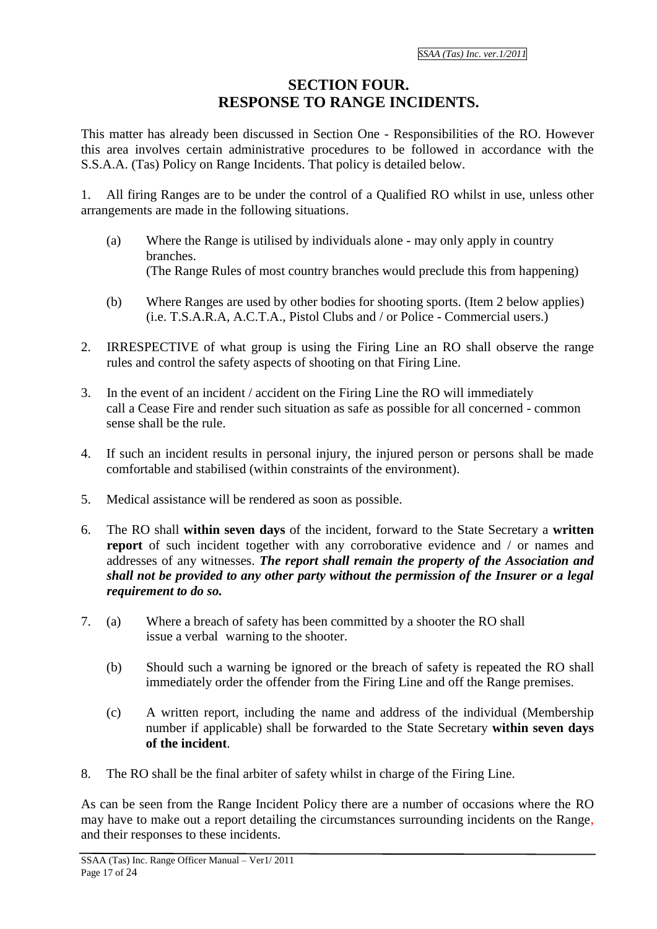#### **SECTION FOUR. RESPONSE TO RANGE INCIDENTS.**

This matter has already been discussed in Section One - Responsibilities of the RO. However this area involves certain administrative procedures to be followed in accordance with the S.S.A.A. (Tas) Policy on Range Incidents. That policy is detailed below.

All firing Ranges are to be under the control of a Qualified RO whilst in use, unless other arrangements are made in the following situations.

- (a) Where the Range is utilised by individuals alone may only apply in country branches. (The Range Rules of most country branches would preclude this from happening)
- (b) Where Ranges are used by other bodies for shooting sports. (Item 2 below applies) (i.e. T.S.A.R.A, A.C.T.A., Pistol Clubs and / or Police - Commercial users.)
- 2. IRRESPECTIVE of what group is using the Firing Line an RO shall observe the range rules and control the safety aspects of shooting on that Firing Line.
- 3. In the event of an incident / accident on the Firing Line the RO will immediately call a Cease Fire and render such situation as safe as possible for all concerned - common sense shall be the rule.
- 4. If such an incident results in personal injury, the injured person or persons shall be made comfortable and stabilised (within constraints of the environment).
- 5. Medical assistance will be rendered as soon as possible.
- 6. The RO shall **within seven days** of the incident, forward to the State Secretary a **written report** of such incident together with any corroborative evidence and / or names and addresses of any witnesses. *The report shall remain the property of the Association and shall not be provided to any other party without the permission of the Insurer or a legal requirement to do so.*
- 7. (a) Where a breach of safety has been committed by a shooter the RO shall issue a verbal warning to the shooter.
	- (b) Should such a warning be ignored or the breach of safety is repeated the RO shall immediately order the offender from the Firing Line and off the Range premises.
	- (c) A written report, including the name and address of the individual (Membership number if applicable) shall be forwarded to the State Secretary **within seven days of the incident**.
- 8. The RO shall be the final arbiter of safety whilst in charge of the Firing Line.

As can be seen from the Range Incident Policy there are a number of occasions where the RO may have to make out a report detailing the circumstances surrounding incidents on the Range, and their responses to these incidents.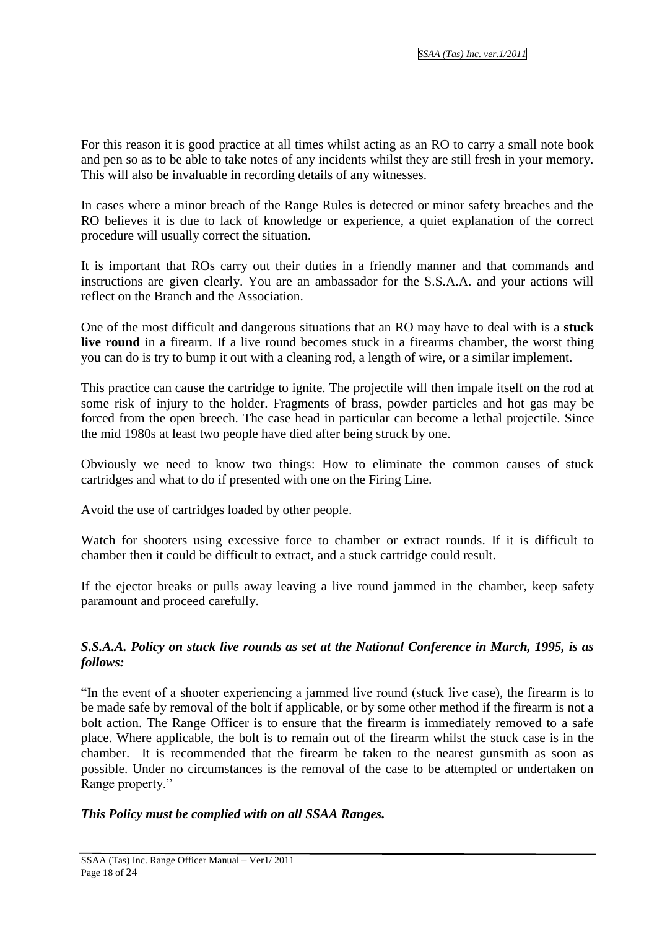For this reason it is good practice at all times whilst acting as an RO to carry a small note book and pen so as to be able to take notes of any incidents whilst they are still fresh in your memory. This will also be invaluable in recording details of any witnesses.

In cases where a minor breach of the Range Rules is detected or minor safety breaches and the RO believes it is due to lack of knowledge or experience, a quiet explanation of the correct procedure will usually correct the situation.

It is important that ROs carry out their duties in a friendly manner and that commands and instructions are given clearly. You are an ambassador for the S.S.A.A. and your actions will reflect on the Branch and the Association.

One of the most difficult and dangerous situations that an RO may have to deal with is a **stuck live round** in a firearm. If a live round becomes stuck in a firearms chamber, the worst thing you can do is try to bump it out with a cleaning rod, a length of wire, or a similar implement.

This practice can cause the cartridge to ignite. The projectile will then impale itself on the rod at some risk of injury to the holder. Fragments of brass, powder particles and hot gas may be forced from the open breech. The case head in particular can become a lethal projectile. Since the mid 1980s at least two people have died after being struck by one.

Obviously we need to know two things: How to eliminate the common causes of stuck cartridges and what to do if presented with one on the Firing Line.

Avoid the use of cartridges loaded by other people.

Watch for shooters using excessive force to chamber or extract rounds. If it is difficult to chamber then it could be difficult to extract, and a stuck cartridge could result.

If the ejector breaks or pulls away leaving a live round jammed in the chamber, keep safety paramount and proceed carefully.

#### *S.S.A.A. Policy on stuck live rounds as set at the National Conference in March, 1995, is as follows:*

"In the event of a shooter experiencing a jammed live round (stuck live case), the firearm is to be made safe by removal of the bolt if applicable, or by some other method if the firearm is not a bolt action. The Range Officer is to ensure that the firearm is immediately removed to a safe place. Where applicable, the bolt is to remain out of the firearm whilst the stuck case is in the chamber. It is recommended that the firearm be taken to the nearest gunsmith as soon as possible. Under no circumstances is the removal of the case to be attempted or undertaken on Range property."

#### *This Policy must be complied with on all SSAA Ranges.*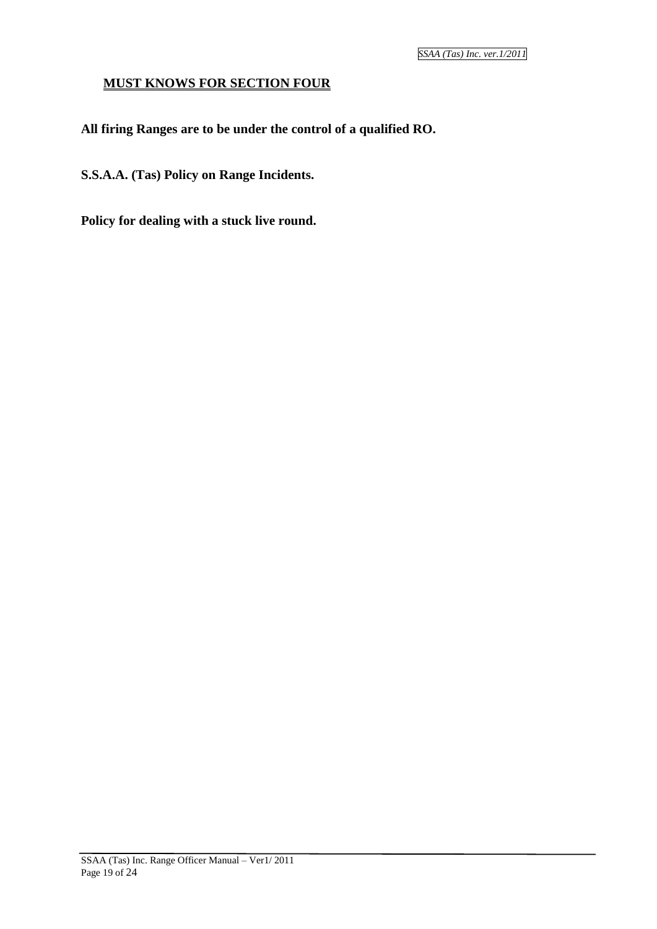#### **MUST KNOWS FOR SECTION FOUR**

**All firing Ranges are to be under the control of a qualified RO.**

**S.S.A.A. (Tas) Policy on Range Incidents.**

**Policy for dealing with a stuck live round.**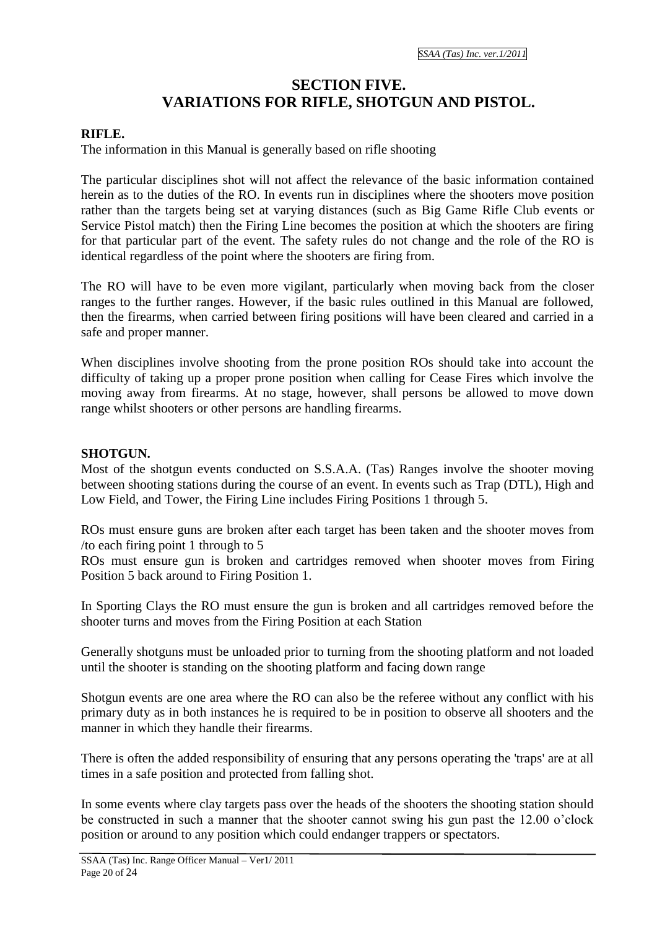#### **SECTION FIVE. VARIATIONS FOR RIFLE, SHOTGUN AND PISTOL.**

#### **RIFLE.**

The information in this Manual is generally based on rifle shooting

The particular disciplines shot will not affect the relevance of the basic information contained herein as to the duties of the RO. In events run in disciplines where the shooters move position rather than the targets being set at varying distances (such as Big Game Rifle Club events or Service Pistol match) then the Firing Line becomes the position at which the shooters are firing for that particular part of the event. The safety rules do not change and the role of the RO is identical regardless of the point where the shooters are firing from.

The RO will have to be even more vigilant, particularly when moving back from the closer ranges to the further ranges. However, if the basic rules outlined in this Manual are followed, then the firearms, when carried between firing positions will have been cleared and carried in a safe and proper manner.

When disciplines involve shooting from the prone position ROs should take into account the difficulty of taking up a proper prone position when calling for Cease Fires which involve the moving away from firearms. At no stage, however, shall persons be allowed to move down range whilst shooters or other persons are handling firearms.

#### **SHOTGUN.**

Most of the shotgun events conducted on S.S.A.A. (Tas) Ranges involve the shooter moving between shooting stations during the course of an event. In events such as Trap (DTL), High and Low Field, and Tower, the Firing Line includes Firing Positions 1 through 5.

ROs must ensure guns are broken after each target has been taken and the shooter moves from /to each firing point 1 through to 5

ROs must ensure gun is broken and cartridges removed when shooter moves from Firing Position 5 back around to Firing Position 1.

In Sporting Clays the RO must ensure the gun is broken and all cartridges removed before the shooter turns and moves from the Firing Position at each Station

Generally shotguns must be unloaded prior to turning from the shooting platform and not loaded until the shooter is standing on the shooting platform and facing down range

Shotgun events are one area where the RO can also be the referee without any conflict with his primary duty as in both instances he is required to be in position to observe all shooters and the manner in which they handle their firearms.

There is often the added responsibility of ensuring that any persons operating the 'traps' are at all times in a safe position and protected from falling shot.

In some events where clay targets pass over the heads of the shooters the shooting station should be constructed in such a manner that the shooter cannot swing his gun past the 12.00 o'clock position or around to any position which could endanger trappers or spectators.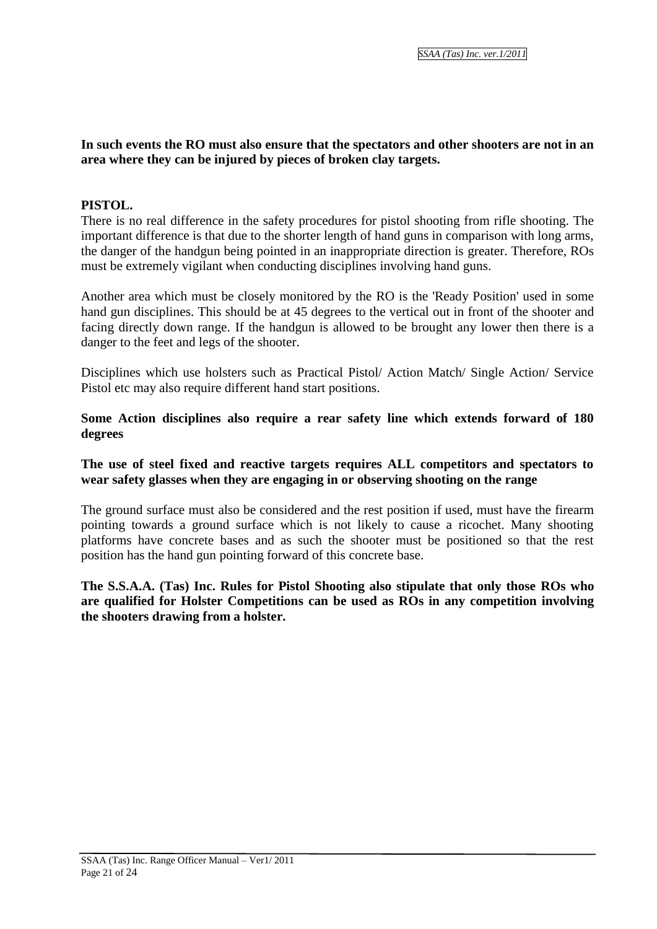#### **In such events the RO must also ensure that the spectators and other shooters are not in an area where they can be injured by pieces of broken clay targets.**

#### **PISTOL.**

There is no real difference in the safety procedures for pistol shooting from rifle shooting. The important difference is that due to the shorter length of hand guns in comparison with long arms, the danger of the handgun being pointed in an inappropriate direction is greater. Therefore, ROs must be extremely vigilant when conducting disciplines involving hand guns.

Another area which must be closely monitored by the RO is the 'Ready Position' used in some hand gun disciplines. This should be at 45 degrees to the vertical out in front of the shooter and facing directly down range. If the handgun is allowed to be brought any lower then there is a danger to the feet and legs of the shooter.

Disciplines which use holsters such as Practical Pistol/ Action Match/ Single Action/ Service Pistol etc may also require different hand start positions.

#### **Some Action disciplines also require a rear safety line which extends forward of 180 degrees**

#### **The use of steel fixed and reactive targets requires ALL competitors and spectators to wear safety glasses when they are engaging in or observing shooting on the range**

The ground surface must also be considered and the rest position if used, must have the firearm pointing towards a ground surface which is not likely to cause a ricochet. Many shooting platforms have concrete bases and as such the shooter must be positioned so that the rest position has the hand gun pointing forward of this concrete base.

#### **The S.S.A.A. (Tas) Inc. Rules for Pistol Shooting also stipulate that only those ROs who are qualified for Holster Competitions can be used as ROs in any competition involving the shooters drawing from a holster.**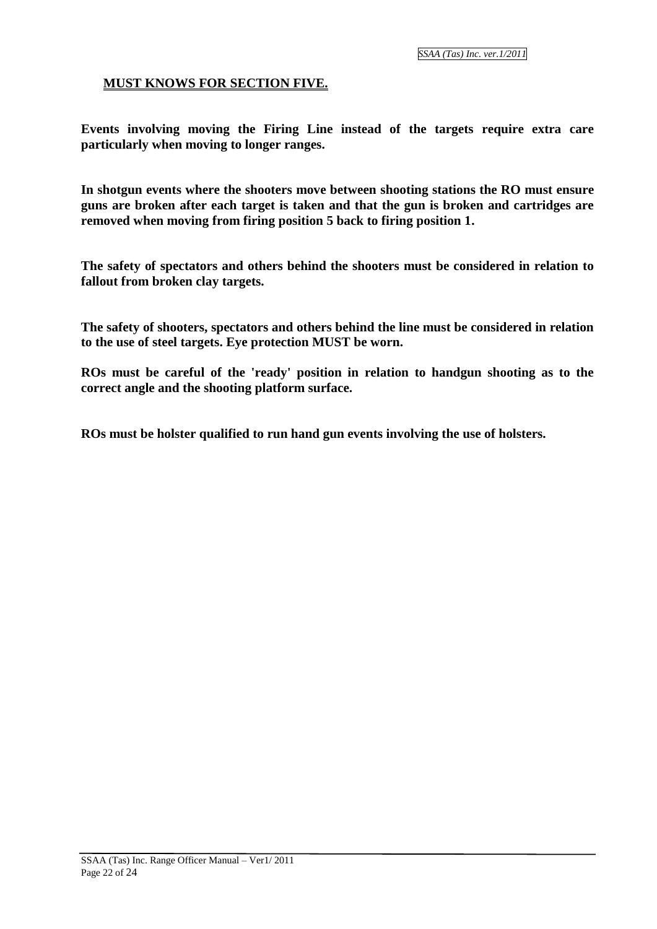#### **MUST KNOWS FOR SECTION FIVE.**

**Events involving moving the Firing Line instead of the targets require extra care particularly when moving to longer ranges.**

**In shotgun events where the shooters move between shooting stations the RO must ensure guns are broken after each target is taken and that the gun is broken and cartridges are removed when moving from firing position 5 back to firing position 1.**

**The safety of spectators and others behind the shooters must be considered in relation to fallout from broken clay targets.**

**The safety of shooters, spectators and others behind the line must be considered in relation to the use of steel targets. Eye protection MUST be worn.**

**ROs must be careful of the 'ready' position in relation to handgun shooting as to the correct angle and the shooting platform surface.**

**ROs must be holster qualified to run hand gun events involving the use of holsters.**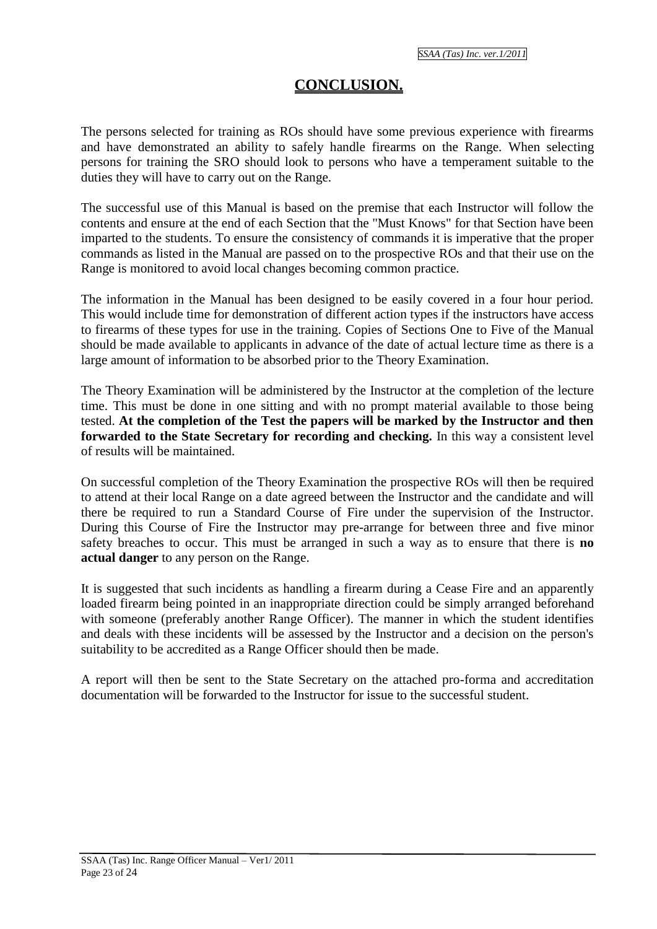#### **CONCLUSION.**

The persons selected for training as ROs should have some previous experience with firearms and have demonstrated an ability to safely handle firearms on the Range. When selecting persons for training the SRO should look to persons who have a temperament suitable to the duties they will have to carry out on the Range.

The successful use of this Manual is based on the premise that each Instructor will follow the contents and ensure at the end of each Section that the "Must Knows" for that Section have been imparted to the students. To ensure the consistency of commands it is imperative that the proper commands as listed in the Manual are passed on to the prospective ROs and that their use on the Range is monitored to avoid local changes becoming common practice.

The information in the Manual has been designed to be easily covered in a four hour period. This would include time for demonstration of different action types if the instructors have access to firearms of these types for use in the training. Copies of Sections One to Five of the Manual should be made available to applicants in advance of the date of actual lecture time as there is a large amount of information to be absorbed prior to the Theory Examination.

The Theory Examination will be administered by the Instructor at the completion of the lecture time. This must be done in one sitting and with no prompt material available to those being tested. **At the completion of the Test the papers will be marked by the Instructor and then forwarded to the State Secretary for recording and checking.** In this way a consistent level of results will be maintained.

On successful completion of the Theory Examination the prospective ROs will then be required to attend at their local Range on a date agreed between the Instructor and the candidate and will there be required to run a Standard Course of Fire under the supervision of the Instructor. During this Course of Fire the Instructor may pre-arrange for between three and five minor safety breaches to occur. This must be arranged in such a way as to ensure that there is **no actual danger** to any person on the Range.

It is suggested that such incidents as handling a firearm during a Cease Fire and an apparently loaded firearm being pointed in an inappropriate direction could be simply arranged beforehand with someone (preferably another Range Officer). The manner in which the student identifies and deals with these incidents will be assessed by the Instructor and a decision on the person's suitability to be accredited as a Range Officer should then be made.

A report will then be sent to the State Secretary on the attached pro-forma and accreditation documentation will be forwarded to the Instructor for issue to the successful student.